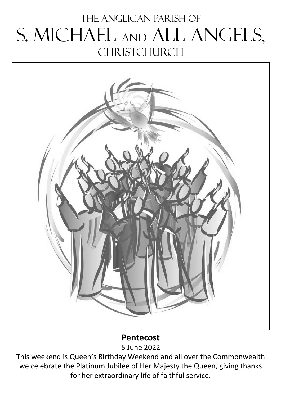# The Anglican parish of S. Michael and All Angels, **CHRISTCHURCH**



# **Pentecost**

5 June 2022

This weekend is Queen's Birthday Weekend and all over the Commonwealth we celebrate the Platinum Jubilee of Her Majesty the Queen, giving thanks for her extraordinary life of faithful service.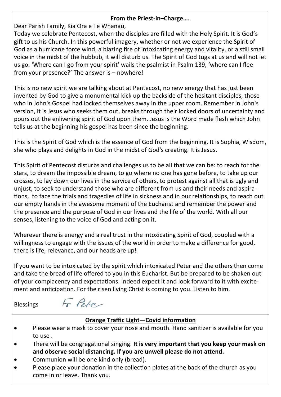## **From the Priest-in–Charge….**

Dear Parish Family, Kia Ora e Te Whanau,

Today we celebrate Pentecost, when the disciples are filled with the Holy Spirit. It is God's gift to us his Church. In this powerful imagery, whether or not we experience the Spirit of God as a hurricane force wind, a blazing fire of intoxicating energy and vitality, or a still small voice in the midst of the hubbub, it will disturb us. The Spirit of God tugs at us and will not let us go. 'Where can I go from your spirit' wails the psalmist in Psalm 139, 'where can I flee from your presence?' The answer is – nowhere!

This is no new spirit we are talking about at Pentecost, no new energy that has just been invented by God to give a monumental kick up the backside of the hesitant disciples, those who in John's Gospel had locked themselves away in the upper room. Remember in John's version, it is Jesus who seeks them out, breaks through their locked doors of uncertainty and pours out the enlivening spirit of God upon them. Jesus is the Word made flesh which John tells us at the beginning his gospel has been since the beginning.

This is the Spirit of God which is the essence of God from the beginning. It is Sophia, Wisdom, she who plays and delights in God in the midst of God's creating. It is Jesus.

This Spirit of Pentecost disturbs and challenges us to be all that we can be: to reach for the stars, to dream the impossible dream, to go where no one has gone before, to take up our crosses, to lay down our lives in the service of others, to protest against all that is ugly and unjust, to seek to understand those who are different from us and their needs and aspirations, to face the trials and tragedies of life in sickness and in our relationships, to reach out our empty hands in the awesome moment of the Eucharist and remember the power and the presence and the purpose of God in our lives and the life of the world. With all our senses, listening to the voice of God and acting on it.

Wherever there is energy and a real trust in the intoxicating Spirit of God, coupled with a willingness to engage with the issues of the world in order to make a difference for good, there is life, relevance, and our heads are up!

If you want to be intoxicated by the spirit which intoxicated Peter and the others then come and take the bread of life offered to you in this Eucharist. But be prepared to be shaken out of your complacency and expectations. Indeed expect it and look forward to it with excitement and anticipation. For the risen living Christ is coming to you. Listen to him.

Blessings

Fr Pete-

# **Orange Traffic Light—Covid information**

- Please wear a mask to cover your nose and mouth. Hand sanitizer is available for you to use .
- There will be congregational singing. **It is very important that you keep your mask on and observe social distancing. If you are unwell please do not attend.**
- Communion will be one kind only (bread).
- Please place your donation in the collection plates at the back of the church as you come in or leave. Thank you.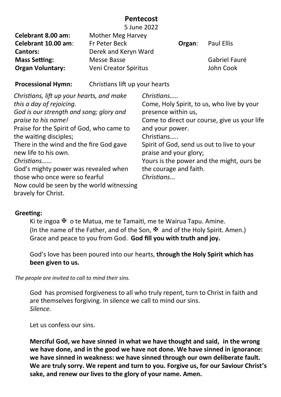# **Pentecost**

|                                           |                                      | 5 June 2022                                  |  |               |
|-------------------------------------------|--------------------------------------|----------------------------------------------|--|---------------|
| Celebrant 8.00 am:                        | Mother Meg Harvey                    |                                              |  |               |
| Celebrant 10.00 am:                       | Fr Peter Beck                        | Organ:                                       |  | Paul Ellis    |
| <b>Cantors:</b>                           | Derek and Keryn Ward                 |                                              |  |               |
| <b>Mass Setting:</b>                      | Messe Basse<br>Veni Creator Spiritus |                                              |  | Gabriel Fauré |
| <b>Organ Voluntary:</b>                   |                                      |                                              |  | John Cook     |
| <b>Processional Hymn:</b>                 | Christians lift up your hearts       |                                              |  |               |
| Christians, lift up your hearts, and make |                                      | Christians                                   |  |               |
| this a day of rejoicing.                  |                                      | Come, Holy Spirit, to us, who live by your   |  |               |
| God is our strength and song; glory and   |                                      | presence within us,                          |  |               |
| praise to his name!                       |                                      | Come to direct our course, give us your life |  |               |
| Praise for the Spirit of God, who came to |                                      | and your power.                              |  |               |
| the waiting disciples;                    |                                      | Christians                                   |  |               |

There in the wind and the fire God gave new life to his own. *Christians…...*

God's mighty power was revealed when those who once were so fearful Now could be seen by the world witnessing bravely for Christ.

Christians….. Spirit of God, send us out to live to your praise and your glory; Yours is the power and the might, ours be the courage and faith.

*Christians...*

# **Greeting:**

Ki te ingoa  $\mathfrak{B}$  o te Matua, me te Tamaiti, me te Wairua Tapu. Amine. (In the name of the Father, and of the Son,  $\mathbb F$  and of the Holy Spirit. Amen.) Grace and peace to you from God. **God fill you with truth and joy.**

God's love has been poured into our hearts, **through the Holy Spirit which has been given to us.**

*The people are invited to call to mind their sins.*

God has promised forgiveness to all who truly repent, turn to Christ in faith and are themselves forgiving. In silence we call to mind our sins. *Silence.*

Let us confess our sins.

**Merciful God, we have sinned in what we have thought and said, in the wrong we have done, and in the good we have not done. We have sinned in ignorance: we have sinned in weakness: we have sinned through our own deliberate fault. We are truly sorry. We repent and turn to you. Forgive us, for our Saviour Christ's sake, and renew our lives to the glory of your name. Amen.**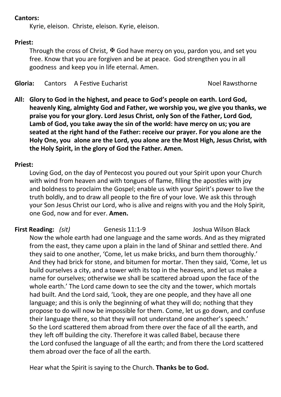# **Cantors:**

Kyrie, eleison. Christe, eleison. Kyrie, eleison.

# **Priest:**

Through the cross of Christ,  $\mathbb F$  God have mercy on you, pardon you, and set you free. Know that you are forgiven and be at peace. God strengthen you in all goodness and keep you in life eternal. Amen.

**Gloria:** Cantors A Festive Eucharist Noel Rawsthorne

**All: Glory to God in the highest, and peace to God's people on earth. Lord God, heavenly King, almighty God and Father, we worship you, we give you thanks, we praise you for your glory. Lord Jesus Christ, only Son of the Father, Lord God, Lamb of God, you take away the sin of the world: have mercy on us; you are seated at the right hand of the Father: receive our prayer. For you alone are the Holy One, you alone are the Lord, you alone are the Most High, Jesus Christ, with the Holy Spirit, in the glory of God the Father. Amen.**

# **Priest:**

Loving God, on the day of Pentecost you poured out your Spirit upon your Church with wind from heaven and with tongues of flame, filling the apostles with joy and boldness to proclaim the Gospel; enable us with your Spirit's power to live the truth boldly, and to draw all people to the fire of your love. We ask this through your Son Jesus Christ our Lord, who is alive and reigns with you and the Holy Spirit, one God, now and for ever. **Amen.**

**First Reading:** *(sit)* Genesis 11:1-9 Joshua Wilson Black Now the whole earth had one language and the same words. And as they migrated from the east, they came upon a plain in the land of Shinar and settled there. And they said to one another, 'Come, let us make bricks, and burn them thoroughly.' And they had brick for stone, and bitumen for mortar. Then they said, 'Come, let us build ourselves a city, and a tower with its top in the heavens, and let us make a name for ourselves; otherwise we shall be scattered abroad upon the face of the whole earth.' The Lord came down to see the city and the tower, which mortals had built. And the Lord said, 'Look, they are one people, and they have all one language; and this is only the beginning of what they will do; nothing that they propose to do will now be impossible for them. Come, let us go down, and confuse their language there, so that they will not understand one another's speech.' So the Lord scattered them abroad from there over the face of all the earth, and they left off building the city. Therefore it was called Babel, because there the Lord confused the language of all the earth; and from there the Lord scattered them abroad over the face of all the earth.

Hear what the Spirit is saying to the Church. **Thanks be to God.**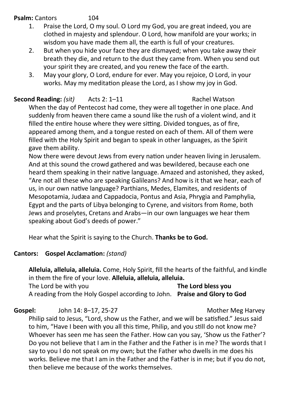# **Psalm:** Cantors 104

- 1. Praise the Lord, O my soul. O Lord my God, you are great indeed, you are clothed in majesty and splendour. O Lord, how manifold are your works; in wisdom you have made them all, the earth is full of your creatures.
- 2. But when you hide your face they are dismayed; when you take away their breath they die, and return to the dust they came from. When you send out your spirit they are created, and you renew the face of the earth.
- 3. May your glory, O Lord, endure for ever. May you rejoice, O Lord, in your works. May my meditation please the Lord, as I show my joy in God.

**Second Reading:** (sit) Acts 2: 1–11 Rachel Watson When the day of Pentecost had come, they were all together in one place. And suddenly from heaven there came a sound like the rush of a violent wind, and it filled the entire house where they were sitting. Divided tongues, as of fire, appeared among them, and a tongue rested on each of them. All of them were filled with the Holy Spirit and began to speak in other languages, as the Spirit gave them ability.

Now there were devout Jews from every nation under heaven living in Jerusalem. And at this sound the crowd gathered and was bewildered, because each one heard them speaking in their native language. Amazed and astonished, they asked, "Are not all these who are speaking Galileans? And how is it that we hear, each of us, in our own native language? Parthians, Medes, Elamites, and residents of Mesopotamia, Judæa and Cappadocia, Pontus and Asia, Phrygia and Pamphylia, Egypt and the parts of Libya belonging to Cyrene, and visitors from Rome, both Jews and proselytes, Cretans and Arabs—in our own languages we hear them speaking about God's deeds of power."

Hear what the Spirit is saying to the Church. **Thanks be to God.**

# **Cantors: Gospel Acclamation:** *(stand)*

**Alleluia, alleluia, alleluia.** Come, Holy Spirit, fill the hearts of the faithful, and kindle in them the fire of your love. **Alleluia, alleluia, alleluia.**  The Lord be with you **The Lord bless you**  A reading from the Holy Gospel according to John. **Praise and Glory to God** 

Gospel: John 14: 8-17, 25-27 Mother Meg Harvey Philip said to Jesus, "Lord, show us the Father, and we will be satisfied." Jesus said to him, "Have I been with you all this time, Philip, and you still do not know me? Whoever has seen me has seen the Father. How can you say, 'Show us the Father'? Do you not believe that I am in the Father and the Father is in me? The words that I say to you I do not speak on my own; but the Father who dwells in me does his works. Believe me that I am in the Father and the Father is in me; but if you do not, then believe me because of the works themselves.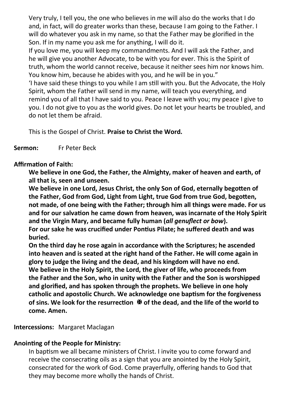Very truly, I tell you, the one who believes in me will also do the works that I do and, in fact, will do greater works than these, because I am going to the Father. I will do whatever you ask in my name, so that the Father may be glorified in the Son. If in my name you ask me for anything, I will do it.

If you love me, you will keep my commandments. And I will ask the Father, and he will give you another Advocate, to be with you for ever. This is the Spirit of truth, whom the world cannot receive, because it neither sees him nor knows him. You know him, because he abides with you, and he will be in you."

'I have said these things to you while I am still with you. But the Advocate, the Holy Spirit, whom the Father will send in my name, will teach you everything, and remind you of all that I have said to you. Peace I leave with you; my peace I give to you. I do not give to you as the world gives. Do not let your hearts be troubled, and do not let them be afraid.

This is the Gospel of Christ. **Praise to Christ the Word.**

## **Sermon:** Fr Peter Beck

#### **Affirmation of Faith:**

**We believe in one God, the Father, the Almighty, maker of heaven and earth, of all that is, seen and unseen.**

**We believe in one Lord, Jesus Christ, the only Son of God, eternally begotten of the Father, God from God, Light from Light, true God from true God, begotten, not made, of one being with the Father; through him all things were made. For us and for our salvation he came down from heaven, was incarnate of the Holy Spirit and the Virgin Mary, and became fully human (***all genuflect or bow***). For our sake he was crucified under Pontius Pilate; he suffered death and was buried.** 

**On the third day he rose again in accordance with the Scriptures; he ascended into heaven and is seated at the right hand of the Father. He will come again in glory to judge the living and the dead, and his kingdom will have no end. We believe in the Holy Spirit, the Lord, the giver of life, who proceeds from the Father and the Son, who in unity with the Father and the Son is worshipped and glorified, and has spoken through the prophets. We believe in one holy catholic and apostolic Church. We acknowledge one baptism for the forgiveness of sins. We look for the resurrection** <sup> $X$ </sup> of the dead, and the life of the world to **come. Amen.**

#### **Intercessions:** Margaret Maclagan

## **Anointing of the People for Ministry:**

In baptism we all became ministers of Christ. I invite you to come forward and receive the consecrating oils as a sign that you are anointed by the Holy Spirit, consecrated for the work of God. Come prayerfully, offering hands to God that they may become more wholly the hands of Christ.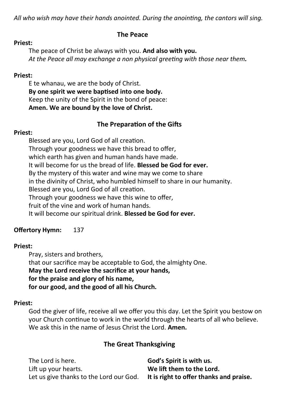*All who wish may have their hands anointed. During the anointing, the cantors will sing.*

# **The Peace**

#### **Priest:**

The peace of Christ be always with you. **And also with you.** *At the Peace all may exchange a non physical greeting with those near them.*

#### **Priest:**

E te whanau, we are the body of Christ. **By one spirit we were baptised into one body.** Keep the unity of the Spirit in the bond of peace: **Amen. We are bound by the love of Christ.**

# **The Preparation of the Gifts**

#### **Priest:**

Blessed are you, Lord God of all creation. Through your goodness we have this bread to offer, which earth has given and human hands have made. It will become for us the bread of life. **Blessed be God for ever.** By the mystery of this water and wine may we come to share in the divinity of Christ, who humbled himself to share in our humanity. Blessed are you, Lord God of all creation. Through your goodness we have this wine to offer, fruit of the vine and work of human hands. It will become our spiritual drink. **Blessed be God for ever.**

# **Offertory Hymn:** 137

## **Priest:**

Pray, sisters and brothers, that our sacrifice may be acceptable to God, the almighty One. **May the Lord receive the sacrifice at your hands, for the praise and glory of his name, for our good, and the good of all his Church.**

# **Priest:**

God the giver of life, receive all we offer you this day. Let the Spirit you bestow on your Church continue to work in the world through the hearts of all who believe. We ask this in the name of Jesus Christ the Lord. **Amen.**

# **The Great Thanksgiving**

| The Lord is here.                       | God's Spirit is with us.                |
|-----------------------------------------|-----------------------------------------|
| Lift up your hearts.                    | We lift them to the Lord.               |
| Let us give thanks to the Lord our God. | It is right to offer thanks and praise. |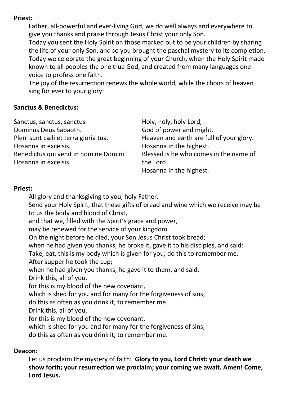# **Priest:**

Father, all-powerful and ever-living God, we do well always and everywhere to give you thanks and praise through Jesus Christ your only Son.

Today you sent the Holy Spirit on those marked out to be your children by sharing the life of your only Son, and so you brought the paschal mystery to its completion. Today we celebrate the great beginning of your Church, when the Holy Spirit made known to all peoples the one true God, and created from many languages one voice to profess one faith.

The joy of the resurrection renews the whole world, while the choirs of heaven sing for ever to your glory:

## **Sanctus & Benedictus:**

| Sanctus, sanctus, sanctus              | Holy, holy, holy Lord,                   |
|----------------------------------------|------------------------------------------|
| Dominus Deus Sabaoth.                  | God of power and might.                  |
| Pleni sunt cæli et terra gloria tua.   | Heaven and earth are full of your glory. |
| Hosanna in excelsis.                   | Hosanna in the highest.                  |
| Benedictus qui venit in nomine Domini. | Blessed is he who comes in the name of   |
| Hosanna in excelsis.                   | the Lord.                                |
|                                        | Hosanna in the highest.                  |

# **Priest:**

All glory and thanksgiving to you, holy Father.

Send your Holy Spirit, that these gifts of bread and wine which we receive may be to us the body and blood of Christ,

and that we, filled with the Spirit's grace and power,

may be renewed for the service of your kingdom.

On the night before he died, your Son Jesus Christ took bread;

when he had given you thanks, he broke it, gave it to his disciples, and said:

Take, eat, this is my body which is given for you; do this to remember me.

After supper he took the cup;

when he had given you thanks, he gave it to them, and said:

Drink this, all of you,

for this is my blood of the new covenant,

which is shed for you and for many for the forgiveness of sins;

do this as often as you drink it, to remember me.

Drink this, all of you,

for this is my blood of the new covenant,

which is shed for you and for many for the forgiveness of sins;

do this as often as you drink it, to remember me.

# **Deacon:**

Let us proclaim the mystery of faith: **Glory to you, Lord Christ: your death we show forth; your resurrection we proclaim; your coming we await. Amen! Come, Lord Jesus.**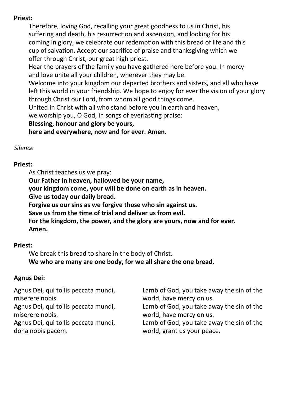# **Priest:**

Therefore, loving God, recalling your great goodness to us in Christ, his suffering and death, his resurrection and ascension, and looking for his coming in glory, we celebrate our redemption with this bread of life and this cup of salvation. Accept our sacrifice of praise and thanksgiving which we offer through Christ, our great high priest.

Hear the prayers of the family you have gathered here before you. In mercy and love unite all your children, wherever they may be.

Welcome into your kingdom our departed brothers and sisters, and all who have left this world in your friendship. We hope to enjoy for ever the vision of your glory through Christ our Lord, from whom all good things come.

United in Christ with all who stand before you in earth and heaven,

we worship you, O God, in songs of everlasting praise:

# **Blessing, honour and glory be yours,**

**here and everywhere, now and for ever. Amen.**

# *Silence*

# **Priest:**

As Christ teaches us we pray:

**Our Father in heaven, hallowed be your name,**

**your kingdom come, your will be done on earth as in heaven.**

**Give us today our daily bread.**

**Forgive us our sins as we forgive those who sin against us.**

**Save us from the time of trial and deliver us from evil.**

**For the kingdom, the power, and the glory are yours, now and for ever. Amen.**

# **Priest:**

We break this bread to share in the body of Christ. **We who are many are one body, for we all share the one bread.**

# **Agnus Dei:**

| Agnus Dei, qui tollis peccata mundi, | Lamb of God, you take away the sin of the |
|--------------------------------------|-------------------------------------------|
| miserere nobis.                      | world, have mercy on us.                  |
| Agnus Dei, qui tollis peccata mundi, | Lamb of God, you take away the sin of the |
| miserere nobis.                      | world, have mercy on us.                  |
| Agnus Dei, qui tollis peccata mundi, | Lamb of God, you take away the sin of the |
| dona nobis pacem.                    | world, grant us your peace.               |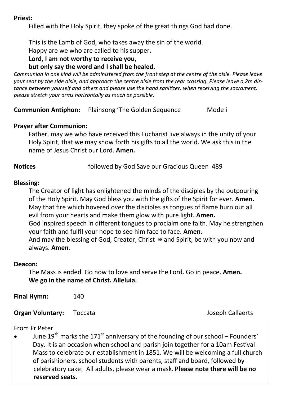#### **Priest:**

Filled with the Holy Spirit, they spoke of the great things God had done.

This is the Lamb of God, who takes away the sin of the world.

Happy are we who are called to his supper.

# **Lord, I am not worthy to receive you,**

## **but only say the word and I shall be healed.**

*Communion in one kind will be administered from the front step at the centre of the aisle. Please leave your seat by the side aisle, and approach the centre aisle from the rear crossing. Please leave a 2m distance between yourself and others and please use the hand sanitizer. when receiving the sacrament, please stretch your arms horizontally as much as possible.*

**Communion Antiphon:** Plainsong 'The Golden Sequence Mode i

## **Prayer after Communion:**

Father, may we who have received this Eucharist live always in the unity of your Holy Spirit, that we may show forth his gifts to all the world. We ask this in the name of Jesus Christ our Lord. **Amen.**

**Notices** followed by God Save our Gracious Queen 489

## **Blessing:**

The Creator of light has enlightened the minds of the disciples by the outpouring of the Holy Spirit. May God bless you with the gifts of the Spirit for ever. **Amen.** May that fire which hovered over the disciples as tongues of flame burn out all evil from your hearts and make them glow with pure light. **Amen.** God inspired speech in different tongues to proclaim one faith. May he strengthen your faith and fulfil your hope to see him face to face. **Amen.** And may the blessing of God, Creator, Christ  $\Phi$  and Spirit, be with you now and always. **Amen.**

#### **Deacon:**

The Mass is ended. Go now to love and serve the Lord. Go in peace. **Amen. We go in the name of Christ. Alleluia.**

**Final Hymn:** 140

**Organ Voluntary:** Toccata **Joseph Callaerts** 

## From Fr Peter

June  $19<sup>th</sup>$  marks the 171<sup>st</sup> anniversary of the founding of our school – Founders' Day. It is an occasion when school and parish join together for a 10am Festival Mass to celebrate our establishment in 1851. We will be welcoming a full church of parishioners, school students with parents, staff and board, followed by celebratory cake! All adults, please wear a mask. **Please note there will be no reserved seats.**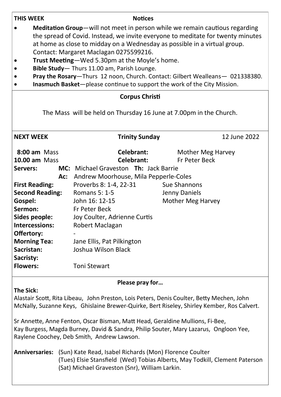| Meditation Group-will not meet in person while we remain cautious regarding<br>$\bullet$<br>the spread of Covid. Instead, we invite everyone to meditate for twenty minutes<br>at home as close to midday on a Wednesday as possible in a virtual group.<br>Contact: Margaret Maclagan 0275599216.<br>Trust Meeting-Wed 5.30pm at the Moyle's home.<br>Bible Study-Thurs 11.00 am, Parish Lounge.<br>Pray the Rosary-Thurs 12 noon, Church. Contact: Gilbert Wealleans- 021338380.<br>Inasmuch Basket-please continue to support the work of the City Mission.<br><b>Corpus Christi</b> |                                                                    |                          |                                    |
|-----------------------------------------------------------------------------------------------------------------------------------------------------------------------------------------------------------------------------------------------------------------------------------------------------------------------------------------------------------------------------------------------------------------------------------------------------------------------------------------------------------------------------------------------------------------------------------------|--------------------------------------------------------------------|--------------------------|------------------------------------|
|                                                                                                                                                                                                                                                                                                                                                                                                                                                                                                                                                                                         | The Mass will be held on Thursday 16 June at 7.00pm in the Church. |                          |                                    |
| <b>NEXT WEEK</b>                                                                                                                                                                                                                                                                                                                                                                                                                                                                                                                                                                        |                                                                    | <b>Trinity Sunday</b>    | 12 June 2022                       |
| 8:00 am Mass<br><b>10.00 am Mass</b>                                                                                                                                                                                                                                                                                                                                                                                                                                                                                                                                                    |                                                                    | Celebrant:<br>Celebrant: | Mother Meg Harvey<br>Fr Peter Beck |
| Servers:                                                                                                                                                                                                                                                                                                                                                                                                                                                                                                                                                                                | MC: Michael Graveston Th: Jack Barrie                              |                          |                                    |
| Ac:                                                                                                                                                                                                                                                                                                                                                                                                                                                                                                                                                                                     | Andrew Moorhouse, Mila Pepperle-Coles                              |                          |                                    |
| <b>First Reading:</b><br><b>Second Reading:</b>                                                                                                                                                                                                                                                                                                                                                                                                                                                                                                                                         | Proverbs 8: 1-4, 22-31<br>Romans 5: 1-5                            |                          | Sue Shannons<br>Jenny Daniels      |
| Gospel:                                                                                                                                                                                                                                                                                                                                                                                                                                                                                                                                                                                 | John 16: 12-15                                                     |                          | Mother Meg Harvey                  |
| Sermon:                                                                                                                                                                                                                                                                                                                                                                                                                                                                                                                                                                                 | Fr Peter Beck                                                      |                          |                                    |
| Sides people:                                                                                                                                                                                                                                                                                                                                                                                                                                                                                                                                                                           | Joy Coulter, Adrienne Curtis                                       |                          |                                    |
| Intercessions:                                                                                                                                                                                                                                                                                                                                                                                                                                                                                                                                                                          | Robert Maclagan                                                    |                          |                                    |
| Offertory:                                                                                                                                                                                                                                                                                                                                                                                                                                                                                                                                                                              |                                                                    |                          |                                    |
| <b>Morning Tea:</b>                                                                                                                                                                                                                                                                                                                                                                                                                                                                                                                                                                     | Jane Ellis, Pat Pilkington                                         |                          |                                    |
| Sacristan:                                                                                                                                                                                                                                                                                                                                                                                                                                                                                                                                                                              | Joshua Wilson Black                                                |                          |                                    |
| Sacristy:<br><b>Flowers:</b>                                                                                                                                                                                                                                                                                                                                                                                                                                                                                                                                                            | <b>Toni Stewart</b>                                                |                          |                                    |
|                                                                                                                                                                                                                                                                                                                                                                                                                                                                                                                                                                                         |                                                                    |                          |                                    |
| Please pray for                                                                                                                                                                                                                                                                                                                                                                                                                                                                                                                                                                         |                                                                    |                          |                                    |
| <b>The Sick:</b><br>Alastair Scott, Rita Libeau, John Preston, Lois Peters, Denis Coulter, Betty Mechen, John<br>McNally, Suzanne Keys, Ghislaine Brewer-Quirke, Bert Riseley, Shirley Kember, Ros Calvert.                                                                                                                                                                                                                                                                                                                                                                             |                                                                    |                          |                                    |
| Sr Annette, Anne Fenton, Oscar Bisman, Matt Head, Geraldine Mullions, Fi-Bee,<br>Kay Burgess, Magda Burney, David & Sandra, Philip Souter, Mary Lazarus, Ongloon Yee,<br>Raylene Coochey, Deb Smith, Andrew Lawson.                                                                                                                                                                                                                                                                                                                                                                     |                                                                    |                          |                                    |
| (Sun) Kate Read, Isabel Richards (Mon) Florence Coulter<br><b>Anniversaries:</b><br>(Tues) Elsie Stansfield (Wed) Tobias Alberts, May Todkill, Clement Paterson<br>(Sat) Michael Graveston (Snr), William Larkin.                                                                                                                                                                                                                                                                                                                                                                       |                                                                    |                          |                                    |

**THIS WEEK Notices**